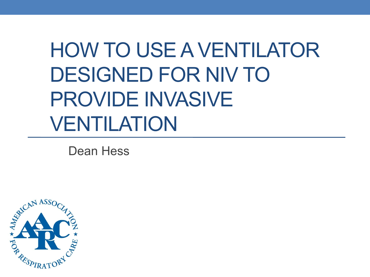# HOW TO USE A VENTILATOR DESIGNED FOR NIV TO PROVIDE INVASIVE VENTILATION

Dean Hess

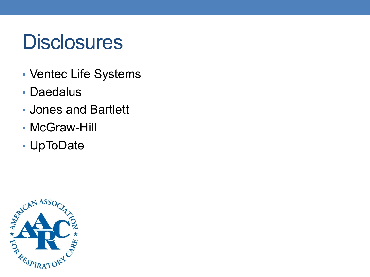## **Disclosures**

- Ventec Life Systems
- Daedalus
- Jones and Bartlett
- McGraw-Hill
- UpToDate

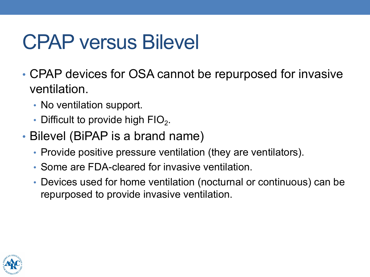## CPAP versus Bilevel

- CPAP devices for OSA cannot be repurposed for invasive ventilation.
	- No ventilation support.
	- Difficult to provide high  $FIO<sub>2</sub>$ .
- Bilevel (BiPAP is a brand name)
	- Provide positive pressure ventilation (they are ventilators).
	- Some are FDA-cleared for invasive ventilation.
	- Devices used for home ventilation (nocturnal or continuous) can be repurposed to provide invasive ventilation.

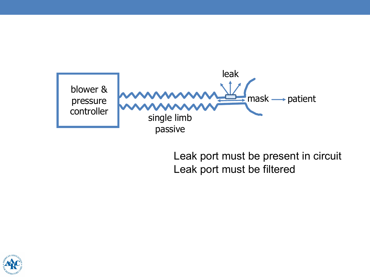

Leak port must be present in circuit Leak port must be filtered

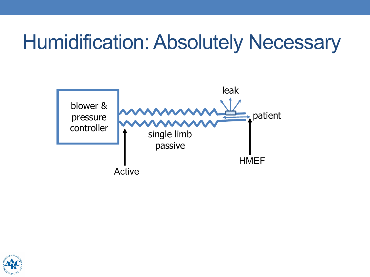### Humidification: Absolutely Necessary



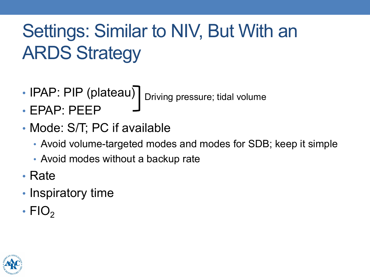### Settings: Similar to NIV, But With an ARDS Strategy

- IPAP: PIP (plateau) <sub>Driving pressure; tidal volume</sub>
- EPAP: PEEP
- Mode: S/T; PC if available
	- Avoid volume-targeted modes and modes for SDB; keep it simple
	- Avoid modes without a backup rate
- Rate
- Inspiratory time
- FIO<sub>2</sub>

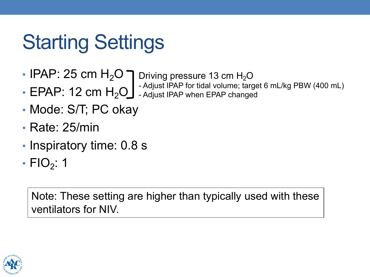# Starting Settings

- IPAP: 25 cm  $H_2O$   $\bigcap$  Driving pressure 13 cm  $H_2O$
- $\bullet$  EPAP: 12 cm  $H_2O$  Adjust IPAP when EPAP changed - Adjust IPAP for tidal volume; target 6 mL/kg PBW (400 mL)
- Mode: S/T; PC okay
- Rate: 25/min
- Inspiratory time: 0.8 s
- FIO $_2$ : 1

Note: These setting are higher than typically used with these ventilators for NIV.

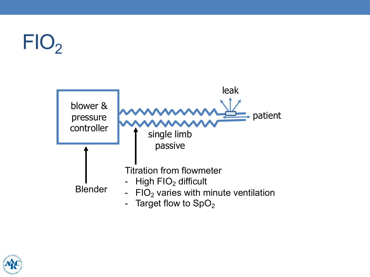# $FIO<sub>2</sub>$



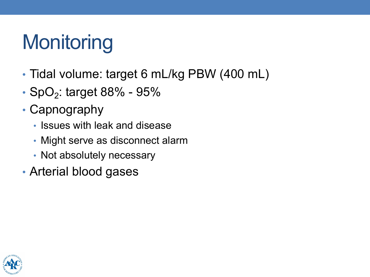# **Monitoring**

- Tidal volume: target 6 mL/kg PBW (400 mL)
- SpO<sub>2</sub>: target 88% 95%
- Capnography
	- Issues with leak and disease
	- Might serve as disconnect alarm
	- Not absolutely necessary
- Arterial blood gases

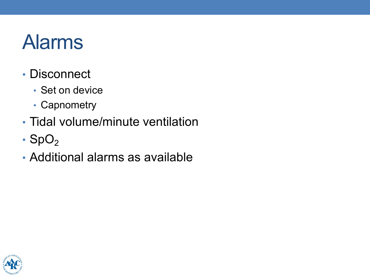### Alarms

- Disconnect
	- Set on device
	- Capnometry
- Tidal volume/minute ventilation
- $\cdot$  SpO<sub>2</sub>
- Additional alarms as available

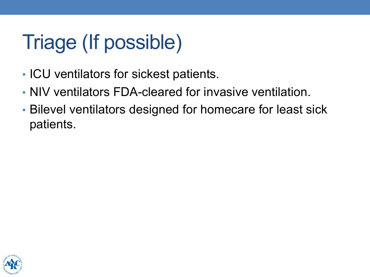# Triage (If possible)

- ICU ventilators for sickest patients.
- NIV ventilators FDA-cleared for invasive ventilation.
- Bilevel ventilators designed for homecare for least sick patients.